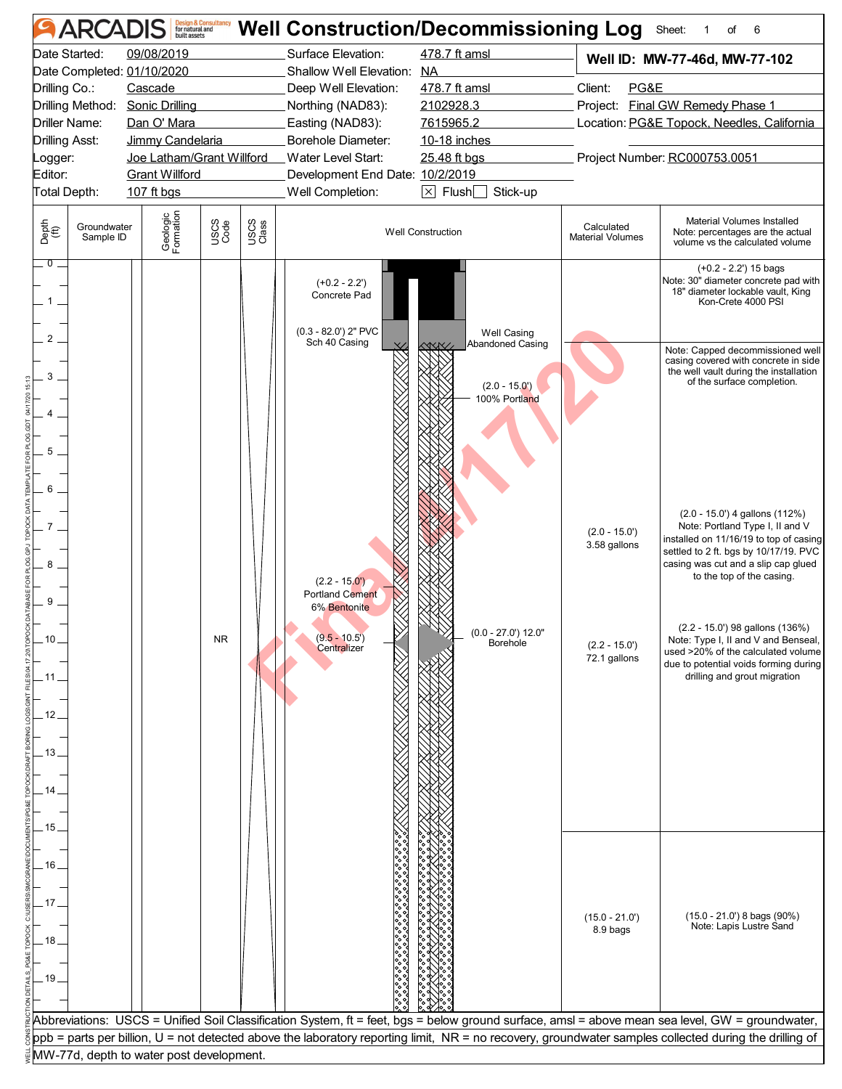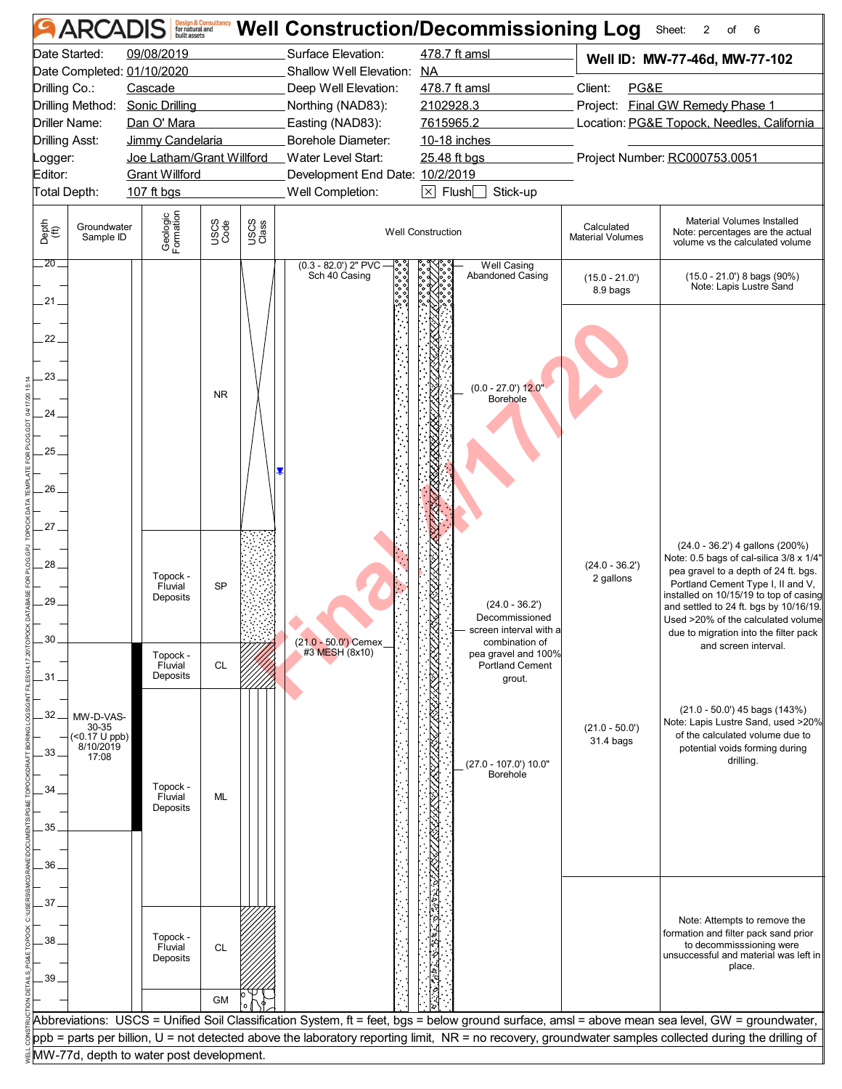|               | <b>ARCADIS</b>             |                                          | <b>Design &amp; Consultancy</b><br>for natural and<br>built assets |               | <b>Well Construction/Decommissioning Log</b> |                          |                                       |                                            | Sheet:<br>$\overline{2}$<br>6<br>of                                                                                                                                                                                                                                               |  |  |
|---------------|----------------------------|------------------------------------------|--------------------------------------------------------------------|---------------|----------------------------------------------|--------------------------|---------------------------------------|--------------------------------------------|-----------------------------------------------------------------------------------------------------------------------------------------------------------------------------------------------------------------------------------------------------------------------------------|--|--|
|               | Date Started:              | 09/08/2019                               |                                                                    |               | Surface Elevation:                           |                          | 478.7 ft amsl                         |                                            | Well ID: MW-77-46d, MW-77-102                                                                                                                                                                                                                                                     |  |  |
|               |                            | Date Completed: 01/10/2020               |                                                                    |               | Shallow Well Elevation: NA                   |                          |                                       |                                            |                                                                                                                                                                                                                                                                                   |  |  |
|               | Drilling Co.:<br>Cascade   |                                          | Deep Well Elevation:                                               |               | 478.7 ft amsl                                | Client:<br>PG&E          |                                       |                                            |                                                                                                                                                                                                                                                                                   |  |  |
|               | Drilling Method:           | <b>Sonic Drilling</b>                    |                                                                    |               | Northing (NAD83):                            | 2102928.3                |                                       |                                            | Project: Final GW Remedy Phase 1                                                                                                                                                                                                                                                  |  |  |
|               | Driller Name:              | Dan O' Mara                              |                                                                    |               | Easting (NAD83):                             | 7615965.2                |                                       | Location: PG&E Topock, Needles, California |                                                                                                                                                                                                                                                                                   |  |  |
|               | <b>Drilling Asst:</b>      | Jimmy Candelaria                         |                                                                    |               | Borehole Diameter:                           |                          | 10-18 inches                          |                                            |                                                                                                                                                                                                                                                                                   |  |  |
| _ogger:       |                            | Joe Latham/Grant Willford                |                                                                    |               | Water Level Start:                           | 25.48 ft bgs             |                                       |                                            | Project Number: RC000753.0051                                                                                                                                                                                                                                                     |  |  |
| Editor:       |                            | <b>Grant Willford</b>                    |                                                                    |               | Development End Date: 10/2/2019              |                          |                                       |                                            |                                                                                                                                                                                                                                                                                   |  |  |
|               | Total Depth:               | 107 ft bgs                               |                                                                    |               | Well Completion:                             |                          | $\boxtimes$ Flush $\Box$<br>Stick-up  |                                            |                                                                                                                                                                                                                                                                                   |  |  |
| Depth<br>(ft) | Groundwater<br>Sample ID   | Geologic<br>Formation                    | USCS<br>Code                                                       | USCS<br>Class |                                              | <b>Well Construction</b> |                                       | Calculated<br><b>Material Volumes</b>      | Material Volumes Installed<br>Note: percentages are the actual<br>volume vs the calculated volume                                                                                                                                                                                 |  |  |
| $.20$ $-$     |                            |                                          |                                                                    |               | $(0.3 - 82.0')$ 2" PVC<br>Sch 40 Casing      |                          | Well Casing<br>Abandoned Casing       | $(15.0 - 21.0')$                           | (15.0 - 21.0') 8 bags (90%)<br>Note: Lapis Lustre Sand                                                                                                                                                                                                                            |  |  |
| $21 -$        |                            |                                          |                                                                    |               |                                              |                          |                                       | 8.9 bags                                   |                                                                                                                                                                                                                                                                                   |  |  |
| $22 -$        |                            |                                          |                                                                    |               |                                              |                          |                                       |                                            |                                                                                                                                                                                                                                                                                   |  |  |
| 23.           |                            |                                          |                                                                    |               |                                              |                          |                                       |                                            |                                                                                                                                                                                                                                                                                   |  |  |
|               |                            |                                          | <b>NR</b>                                                          |               |                                              |                          | $(0.0 - 27.0')$ 12.0"<br>Borehole     |                                            |                                                                                                                                                                                                                                                                                   |  |  |
| $24-$         |                            |                                          |                                                                    |               |                                              |                          |                                       |                                            |                                                                                                                                                                                                                                                                                   |  |  |
|               |                            |                                          |                                                                    |               |                                              |                          |                                       |                                            |                                                                                                                                                                                                                                                                                   |  |  |
| $25 -$        |                            |                                          |                                                                    |               |                                              |                          |                                       |                                            |                                                                                                                                                                                                                                                                                   |  |  |
|               |                            |                                          |                                                                    |               |                                              |                          |                                       |                                            |                                                                                                                                                                                                                                                                                   |  |  |
| 26.           |                            |                                          |                                                                    |               |                                              |                          |                                       |                                            |                                                                                                                                                                                                                                                                                   |  |  |
|               |                            |                                          |                                                                    |               |                                              |                          |                                       |                                            |                                                                                                                                                                                                                                                                                   |  |  |
| 27.           |                            |                                          |                                                                    |               |                                              |                          |                                       |                                            |                                                                                                                                                                                                                                                                                   |  |  |
|               |                            |                                          |                                                                    |               |                                              |                          |                                       |                                            |                                                                                                                                                                                                                                                                                   |  |  |
| 28_<br>29.    |                            | Topock -<br>Fluvial<br>Deposits          | <b>SP</b>                                                          |               |                                              |                          | $(24.0 - 36.2')$<br>Decommissioned    | $(24.0 - 36.2')$<br>2 gallons              | (24.0 - 36.2') 4 gallons (200%)<br>Note: 0.5 bags of cal-silica 3/8 x 1/4"<br>pea gravel to a depth of 24 ft. bgs.<br>Portland Cement Type I, II and V,<br>installed on 10/15/19 to top of casing<br>and settled to 24 ft. bgs by 10/16/19.<br>Used >20% of the calculated volume |  |  |
|               |                            |                                          |                                                                    |               |                                              |                          | screen interval with a                |                                            | due to migration into the filter pack                                                                                                                                                                                                                                             |  |  |
| 30            |                            | Topock -                                 |                                                                    |               | (21.0 - 50.0') Cemex<br>#3 MESH (8x10)       |                          | combination of<br>pea gravel and 100% |                                            | and screen interval.                                                                                                                                                                                                                                                              |  |  |
|               |                            | Fluvial                                  | CL                                                                 |               |                                              |                          | <b>Portland Cement</b>                |                                            |                                                                                                                                                                                                                                                                                   |  |  |
| .31.          |                            | Deposits                                 |                                                                    |               |                                              |                          | grout.                                |                                            |                                                                                                                                                                                                                                                                                   |  |  |
| .32.          | MW-D-VAS-                  |                                          |                                                                    |               |                                              |                          |                                       |                                            | (21.0 - 50.0') 45 bags (143%)<br>Note: Lapis Lustre Sand, used >20%                                                                                                                                                                                                               |  |  |
|               | 30-35<br>$($ < 0.17 U ppb) |                                          |                                                                    |               |                                              |                          |                                       | $(21.0 - 50.0)$<br>31.4 bags               | of the calculated volume due to                                                                                                                                                                                                                                                   |  |  |
| 33.           | 8/10/2019<br>17:08         |                                          |                                                                    |               |                                              |                          |                                       |                                            | potential voids forming during<br>drilling.                                                                                                                                                                                                                                       |  |  |
|               |                            |                                          |                                                                    |               |                                              |                          | (27.0 - 107.0') 10.0"<br>Borehole     |                                            |                                                                                                                                                                                                                                                                                   |  |  |
| 34.           |                            | Topock -<br>Fluvial                      | ML                                                                 |               |                                              |                          |                                       |                                            |                                                                                                                                                                                                                                                                                   |  |  |
|               |                            | Deposits                                 |                                                                    |               |                                              |                          |                                       |                                            |                                                                                                                                                                                                                                                                                   |  |  |
| 35.           |                            |                                          |                                                                    |               |                                              |                          |                                       |                                            |                                                                                                                                                                                                                                                                                   |  |  |
|               |                            |                                          |                                                                    |               |                                              |                          |                                       |                                            |                                                                                                                                                                                                                                                                                   |  |  |
| 36.           |                            |                                          |                                                                    |               |                                              |                          |                                       |                                            |                                                                                                                                                                                                                                                                                   |  |  |
|               |                            |                                          |                                                                    |               |                                              |                          |                                       |                                            |                                                                                                                                                                                                                                                                                   |  |  |
| 37.           |                            |                                          |                                                                    |               |                                              |                          |                                       |                                            |                                                                                                                                                                                                                                                                                   |  |  |
| 38.           |                            | Topock -<br>Fluvial<br>Deposits          | <b>CL</b>                                                          |               |                                              |                          |                                       |                                            | Note: Attempts to remove the<br>formation and filter pack sand prior<br>to decommisssioning were<br>unsuccessful and material was left in                                                                                                                                         |  |  |
| .39           |                            |                                          |                                                                    |               |                                              |                          |                                       |                                            | place.                                                                                                                                                                                                                                                                            |  |  |
|               |                            |                                          |                                                                    |               |                                              |                          |                                       |                                            |                                                                                                                                                                                                                                                                                   |  |  |
|               |                            |                                          | <b>GM</b>                                                          |               |                                              |                          |                                       |                                            |                                                                                                                                                                                                                                                                                   |  |  |
|               |                            |                                          |                                                                    |               |                                              |                          |                                       |                                            | Abbreviations: USCS = Unified Soil Classification System, ft = feet, bgs = below ground surface, amsl = above mean sea level, GW = groundwater,                                                                                                                                   |  |  |
|               |                            |                                          |                                                                    |               |                                              |                          |                                       |                                            | ppb = parts per billion, U = not detected above the laboratory reporting limit, NR = no recovery, groundwater samples collected during the drilling of                                                                                                                            |  |  |
|               |                            | MW-77d, depth to water post development. |                                                                    |               |                                              |                          |                                       |                                            |                                                                                                                                                                                                                                                                                   |  |  |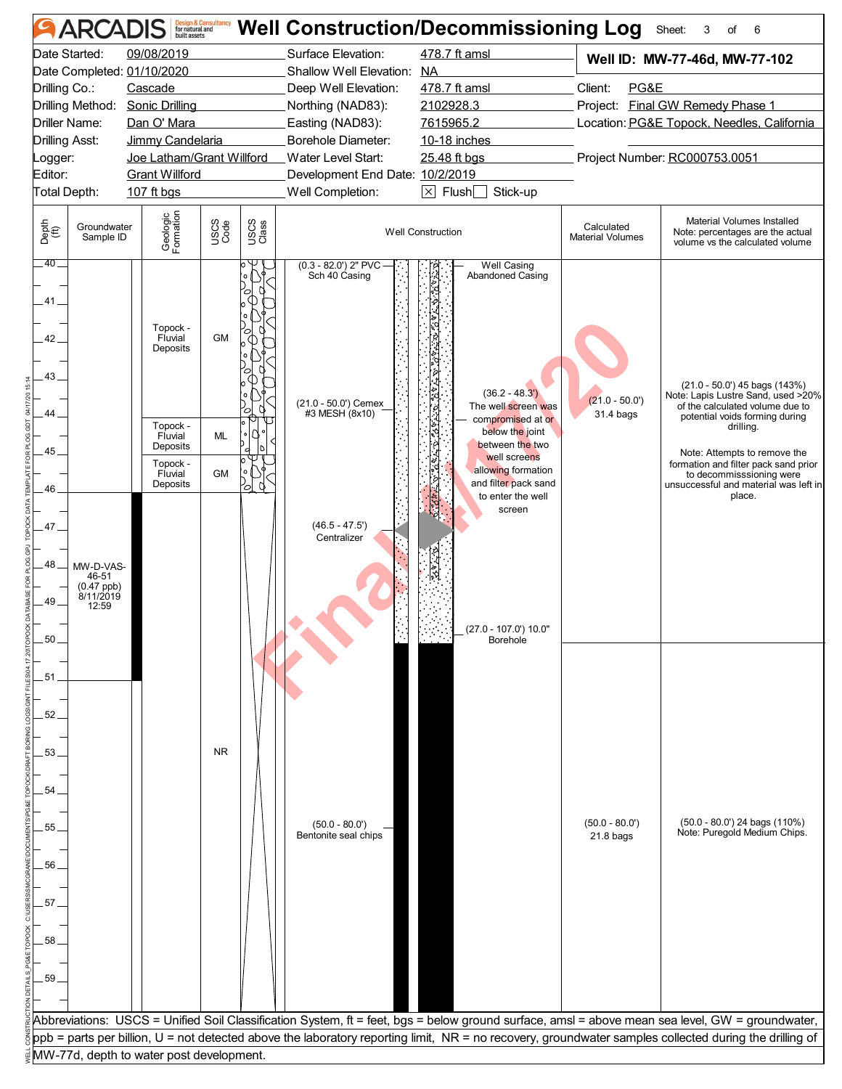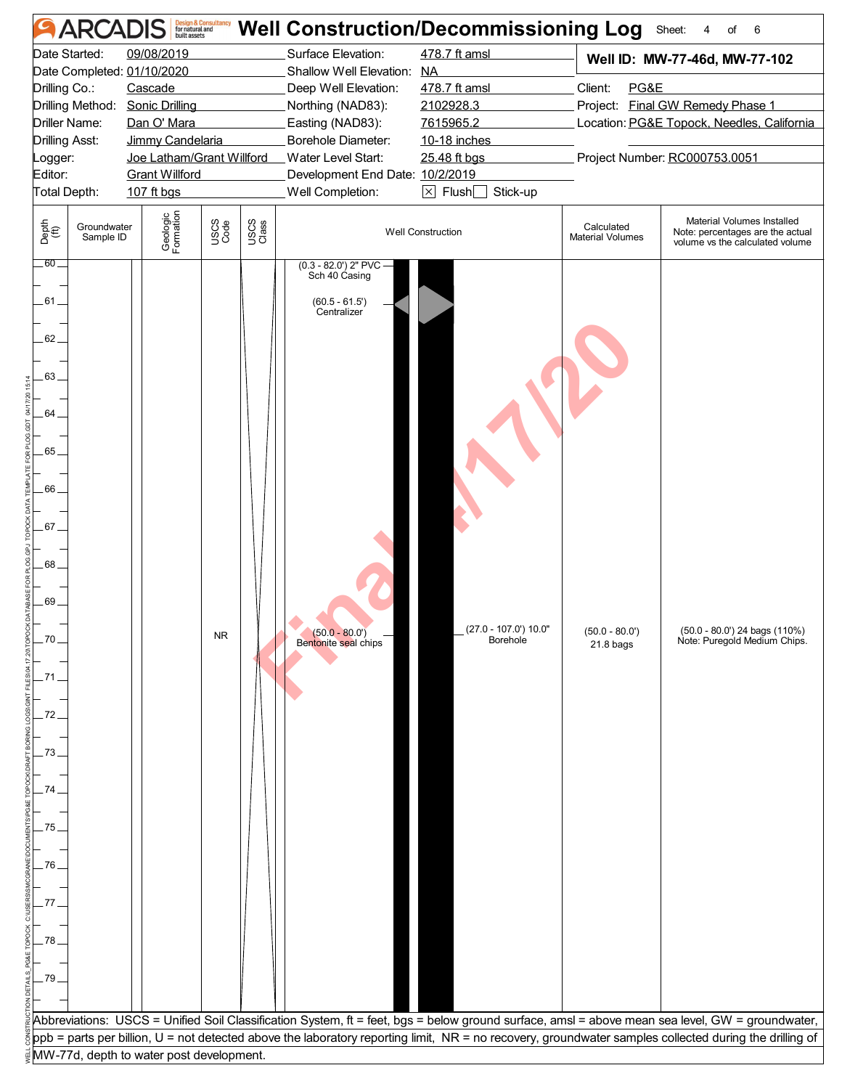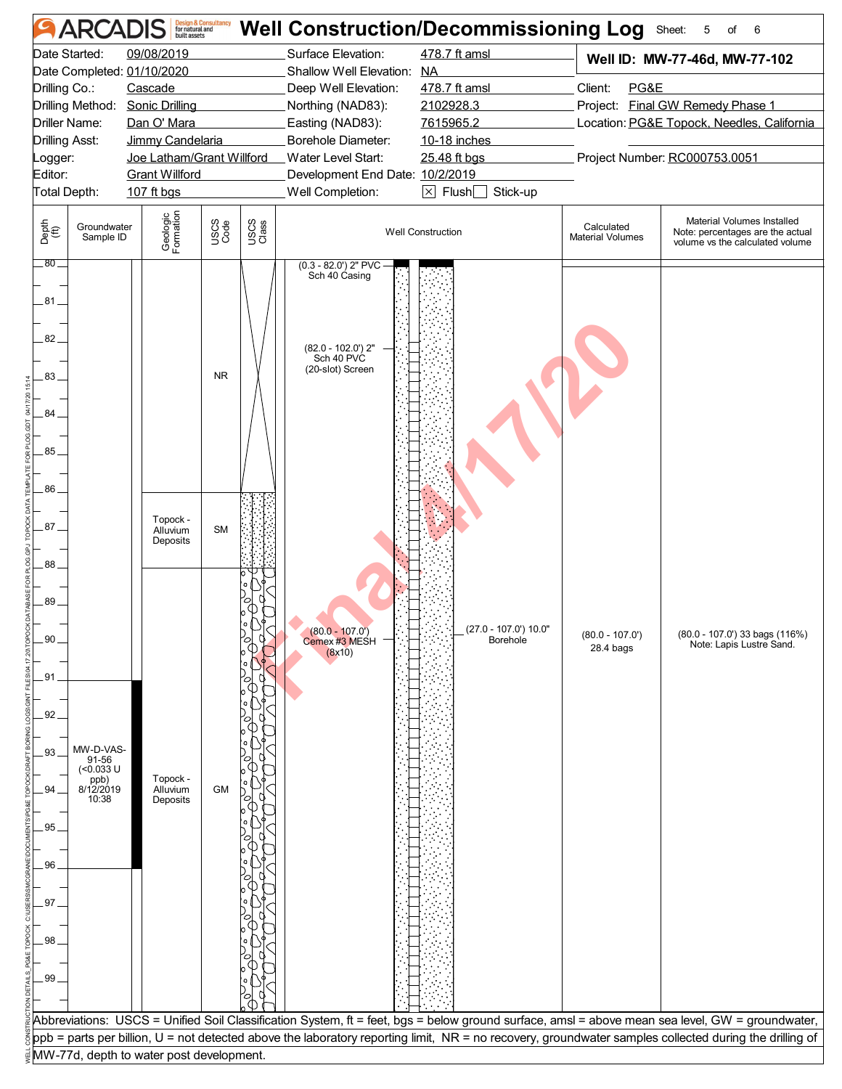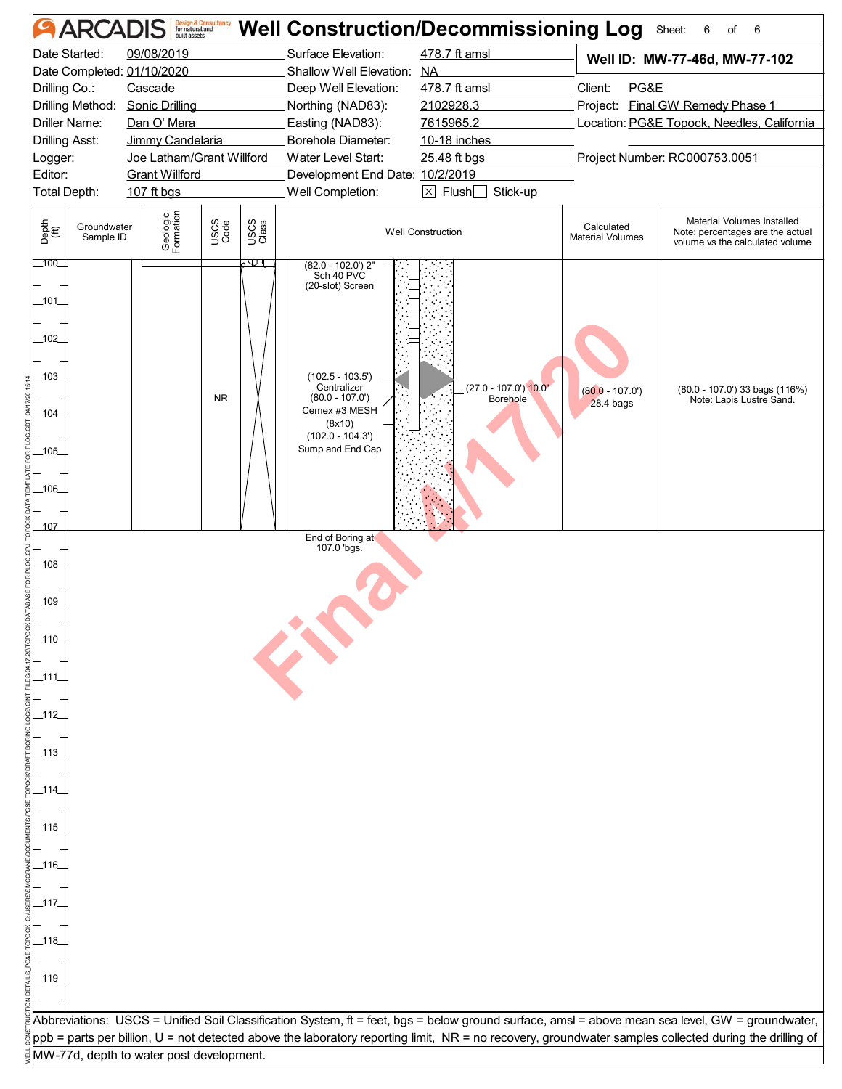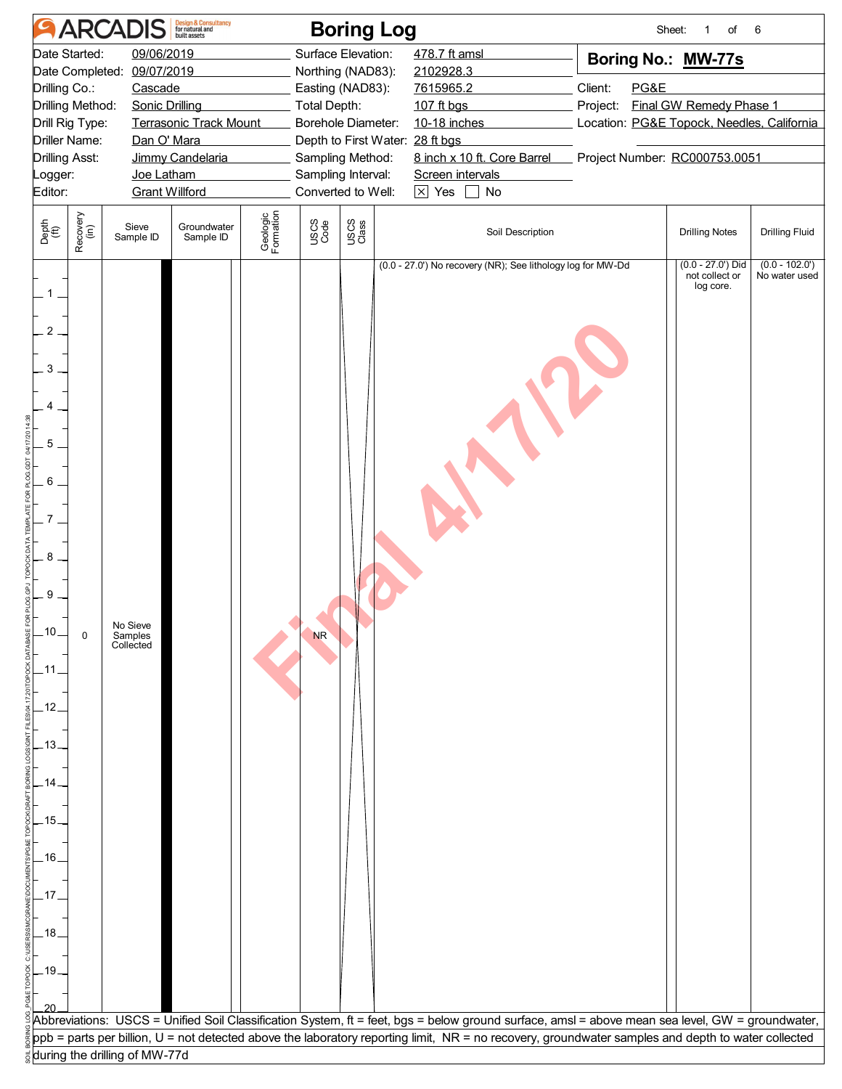|                                                                                                                                                                                                   | <b>ARCADIS</b>                              | <b>Design &amp; Consultancy</b><br>for natural and |                       |                                                                                                                       | <b>Boring Log</b>                                     |                                                                                                                                                                                                                |                                                                                                         | Sheet:<br>of<br>1                                 | 6                                 |  |
|---------------------------------------------------------------------------------------------------------------------------------------------------------------------------------------------------|---------------------------------------------|----------------------------------------------------|-----------------------|-----------------------------------------------------------------------------------------------------------------------|-------------------------------------------------------|----------------------------------------------------------------------------------------------------------------------------------------------------------------------------------------------------------------|---------------------------------------------------------------------------------------------------------|---------------------------------------------------|-----------------------------------|--|
| Date Started:<br>09/06/2019<br>Date Completed: 09/07/2019<br>Drilling Co.:<br>Cascade<br>Drilling Method:<br><b>Sonic Drilling</b>                                                                |                                             |                                                    | <b>Total Depth:</b>   | Surface Elevation:<br>Northing (NAD83):<br>Easting (NAD83):                                                           | 478.7 ft amsl<br>2102928.3<br>7615965.2<br>107 ft bgs | Boring No.: MW-77s<br>Client:<br>PG&E<br>Final GW Remedy Phase 1<br>Project:                                                                                                                                   |                                                                                                         |                                                   |                                   |  |
| Drill Rig Type:<br><b>Terrasonic Track Mount</b><br><b>Driller Name:</b><br>Dan O' Mara<br><b>Drilling Asst:</b><br>Jimmy Candelaria<br>Joe Latham<br>Logger:<br>Editor:<br><b>Grant Willford</b> |                                             |                                                    |                       | Borehole Diameter:<br>Depth to First Water: 28 ft bgs<br>Sampling Method:<br>Sampling Interval:<br>Converted to Well: |                                                       | 10-18 inches<br>Screen intervals<br>$\boxed{\times}$ Yes<br>No<br>$\blacksquare$                                                                                                                               | Location: PG&E Topock, Needles, California<br>8 inch x 10 ft. Core Barrel Project Number: RC000753.0051 |                                                   |                                   |  |
| Recovery<br>(in)<br>Depth<br>$\widetilde{f(t)}$                                                                                                                                                   | Sieve<br>Sample ID                          | Groundwater<br>Sample ID                           | Geologic<br>Formation | USCS<br>Code                                                                                                          | USCS<br>Class                                         | Soil Description                                                                                                                                                                                               |                                                                                                         | <b>Drilling Notes</b>                             | <b>Drilling Fluid</b>             |  |
| 1<br>$\overline{c}$<br>3<br>4<br>5<br>6<br>8<br>9<br>.10.<br>$\mathbf 0$<br>$-11.$<br>.12.<br>$-13.$<br>14<br>.15.<br>$.16$ $-$<br>.17.<br>.18.<br>$-19.$                                         | No Sieve<br>Samples<br>Collected            |                                                    |                       | <b>NR</b>                                                                                                             |                                                       | (0.0 - 27.0') No recovery (NR); See lithology log for MW-Dd<br>Abbreviations: USCS = Unified Soil Classification System, ft = feet, bgs = below ground surface, amsl = above mean sea level, GW = groundwater, |                                                                                                         | $(0.0 - 27.0)$ Did<br>not collect or<br>log core. | $(0.0 - 102.0')$<br>No water used |  |
|                                                                                                                                                                                                   |                                             |                                                    |                       |                                                                                                                       |                                                       | ppb = parts per billion, U = not detected above the laboratory reporting limit, NR = no recovery, groundwater samples and depth to water collected                                                             |                                                                                                         |                                                   |                                   |  |
|                                                                                                                                                                                                   | $\frac{1}{3}$ during the drilling of MW-77d |                                                    |                       |                                                                                                                       |                                                       |                                                                                                                                                                                                                |                                                                                                         |                                                   |                                   |  |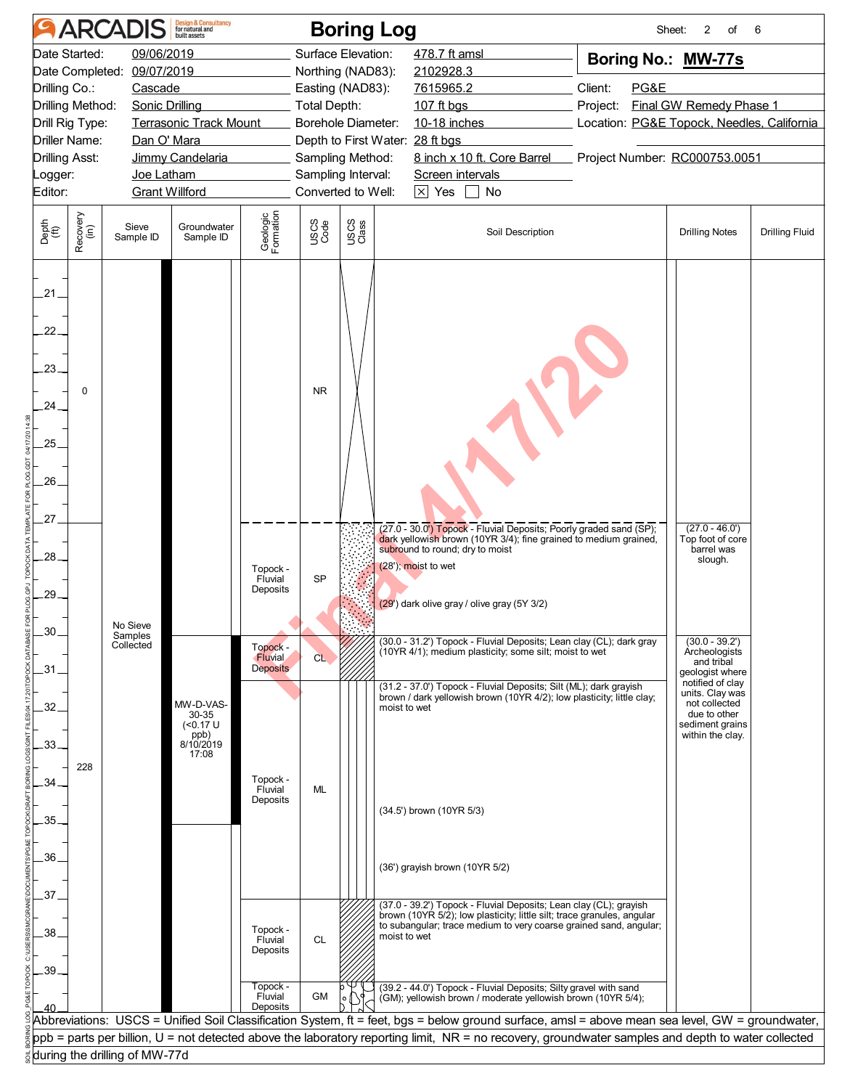|                                                                                                                                                                                                                                                                                                                           |                  | <b>ARCADIS</b>                   | <b>Design &amp; Consultancy</b><br>for natural and                    |                                 |                                                                                                                                                   | <b>Boring Log</b>                                                                                                                                          |                                                                                                                                                                                                                                                                                     |  | 2<br>of<br>Sheet:                                                                                                                            | 6                     |
|---------------------------------------------------------------------------------------------------------------------------------------------------------------------------------------------------------------------------------------------------------------------------------------------------------------------------|------------------|----------------------------------|-----------------------------------------------------------------------|---------------------------------|---------------------------------------------------------------------------------------------------------------------------------------------------|------------------------------------------------------------------------------------------------------------------------------------------------------------|-------------------------------------------------------------------------------------------------------------------------------------------------------------------------------------------------------------------------------------------------------------------------------------|--|----------------------------------------------------------------------------------------------------------------------------------------------|-----------------------|
| Date Started:<br>09/06/2019<br>Date Completed: 09/07/2019<br>Drilling Co.:<br>Cascade<br>Drilling Method:<br>Sonic Drilling<br><b>Terrasonic Track Mount</b><br>Drill Rig Type:<br>Driller Name:<br>Dan O' Mara<br><b>Drilling Asst:</b><br>Jimmy Candelaria<br>Joe Latham<br>Logger:<br><b>Grant Willford</b><br>Editor: |                  |                                  |                                                                       | <b>Total Depth:</b>             | Surface Elevation:<br>Northing (NAD83):<br>Easting (NAD83):<br>Borehole Diameter:<br>Sampling Method:<br>Sampling Interval:<br>Converted to Well: | 478.7 ft amsl<br>2102928.3<br>7615965.2<br>107 ft bgs<br>10-18 inches<br>Depth to First Water: 28 ft bgs<br>Screen intervals<br>$\boxed{\times}$ Yes<br>No | Boring No.: MW-77s<br>Client:<br>PG&E<br>Final GW Remedy Phase 1<br>Project:<br>Location: PG&E Topock, Needles, California<br>8 inch x 10 ft. Core Barrel Project Number: RC000753.0051                                                                                             |  |                                                                                                                                              |                       |
| Depth<br>(ft)                                                                                                                                                                                                                                                                                                             | Recovery<br>(in) | Sieve<br>Sample ID               | Groundwater<br>Sample ID                                              | Geologic<br>Formation           | USCS<br>Code                                                                                                                                      | USCS<br>Class                                                                                                                                              | Soil Description                                                                                                                                                                                                                                                                    |  | <b>Drilling Notes</b>                                                                                                                        | <b>Drilling Fluid</b> |
| .21.<br>22.<br>23.<br>24.<br>25.<br>26.<br>27.<br>28.                                                                                                                                                                                                                                                                     | 0                |                                  |                                                                       | Topock -<br>Fluvial             | <b>NR</b><br><b>SP</b>                                                                                                                            |                                                                                                                                                            | (27.0 - 30.0') Topock - Fluvial Deposits; Poorly graded sand (SP);<br>dark yellowish brown (10YR 3/4); fine grained to medium grained,<br>subround to round; dry to moist<br>(28'); moist to wet                                                                                    |  | $(27.0 - 46.0')$<br>Top foot of core<br>barrel was<br>slough.                                                                                |                       |
| 29.<br>30                                                                                                                                                                                                                                                                                                                 |                  | No Sieve<br>Samples<br>Collected |                                                                       | Deposits<br>Topock -<br>Fluvial | CL                                                                                                                                                |                                                                                                                                                            | (29') dark olive gray / olive gray (5Y 3/2)<br>(30.0 - 31.2') Topock - Fluvial Deposits; Lean clay (CL); dark gray<br>(10YR 4/1); medium plasticity; some silt; moist to wet                                                                                                        |  | $(30.0 - 39.2')$<br>Archeologists                                                                                                            |                       |
| .31<br>.32.<br>.33.                                                                                                                                                                                                                                                                                                       | 228              |                                  | MW-D-VAS-<br>30-35<br>$(0.17 \text{ U}$<br>ppb)<br>8/10/2019<br>17:08 | <b>Deposits</b>                 |                                                                                                                                                   |                                                                                                                                                            | (31.2 - 37.0') Topock - Fluvial Deposits; Silt (ML); dark grayish<br>brown / dark yellowish brown (10YR 4/2); low plasticity; little clay;<br>moist to wet                                                                                                                          |  | and tribal<br>geologist where<br>notified of clay<br>units. Clay was<br>not collected<br>due to other<br>sediment grains<br>within the clay. |                       |
| 34<br>35.<br>36.                                                                                                                                                                                                                                                                                                          |                  |                                  |                                                                       | Topock -<br>Fluvial<br>Deposits | ML                                                                                                                                                |                                                                                                                                                            | (34.5') brown (10YR 5/3)<br>(36') grayish brown (10YR 5/2)                                                                                                                                                                                                                          |  |                                                                                                                                              |                       |
| .37.<br>.38.<br>.39                                                                                                                                                                                                                                                                                                       |                  |                                  |                                                                       | Topock -<br>Fluvial<br>Deposits | CL                                                                                                                                                |                                                                                                                                                            | (37.0 - 39.2') Topock - Fluvial Deposits; Lean clay (CL); grayish<br>brown (10YR 5/2); low plasticity; little silt; trace granules, angular<br>to subangular; trace medium to very coarse grained sand, angular;<br>moist to wet                                                    |  |                                                                                                                                              |                       |
|                                                                                                                                                                                                                                                                                                                           |                  |                                  |                                                                       | Topock -<br>Fluvial<br>Deposits | GM                                                                                                                                                |                                                                                                                                                            | (39.2 - 44.0') Topock - Fluvial Deposits; Silty gravel with sand<br>(GM); yellowish brown / moderate yellowish brown (10YR 5/4);<br>Abbreviations: USCS = Unified Soil Classification System, ft = feet, bgs = below ground surface, amsl = above mean sea level, GW = groundwater, |  |                                                                                                                                              |                       |
|                                                                                                                                                                                                                                                                                                                           |                  | during the drilling of MW-77d    |                                                                       |                                 |                                                                                                                                                   |                                                                                                                                                            | ppb = parts per billion, U = not detected above the laboratory reporting limit, NR = no recovery, groundwater samples and depth to water collected                                                                                                                                  |  |                                                                                                                                              |                       |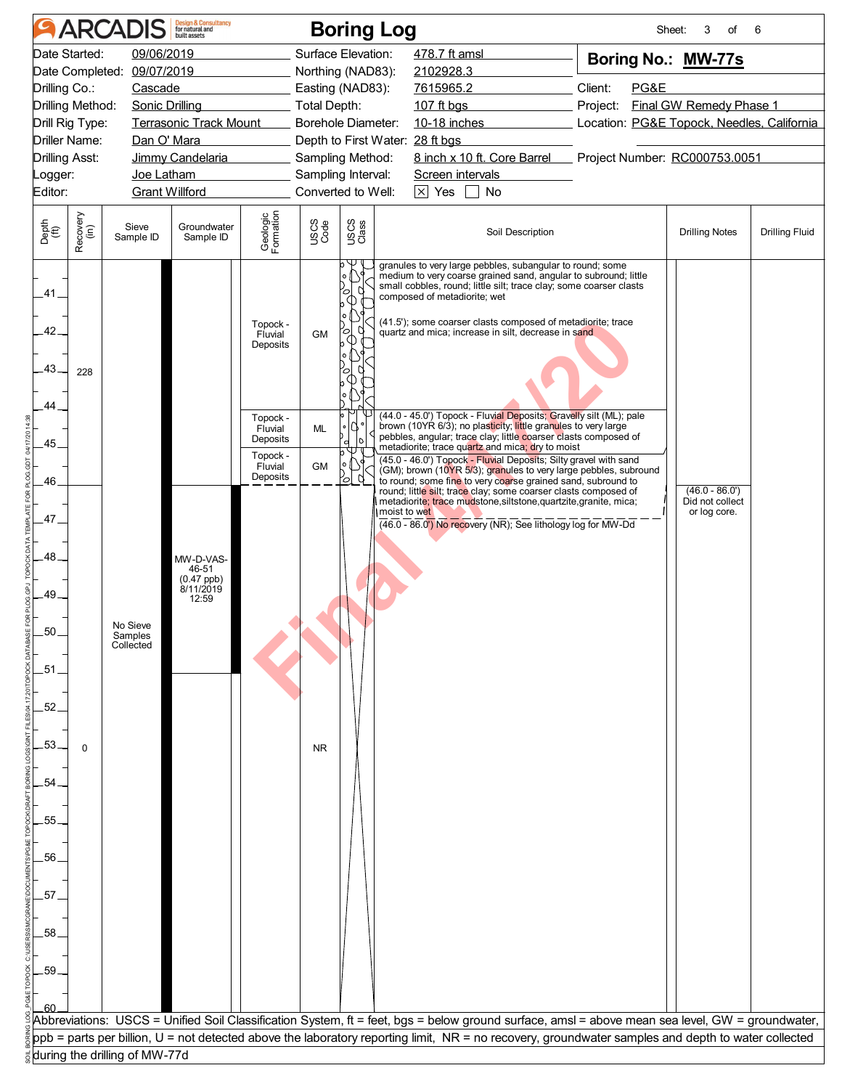|                                                                                                                            |                                                                                                                                                                                                                                                                                                                                                                                                                                                 | <b>ARCADIS</b>                   | <b>Design &amp; Consultancy</b><br>for natural and         |                                                                                                       |                                                                                                                                                   | <b>Boring Log</b>                                                                                                                                                                          |                                                                                                                                                                                                                                                                                                                                                                                                                                                                                                                                                                                                                                                                                                                                                                                                                                                                                                                                                                                                                                                         |  | Sheet:<br>3<br>of                                   | 6                     |
|----------------------------------------------------------------------------------------------------------------------------|-------------------------------------------------------------------------------------------------------------------------------------------------------------------------------------------------------------------------------------------------------------------------------------------------------------------------------------------------------------------------------------------------------------------------------------------------|----------------------------------|------------------------------------------------------------|-------------------------------------------------------------------------------------------------------|---------------------------------------------------------------------------------------------------------------------------------------------------|--------------------------------------------------------------------------------------------------------------------------------------------------------------------------------------------|---------------------------------------------------------------------------------------------------------------------------------------------------------------------------------------------------------------------------------------------------------------------------------------------------------------------------------------------------------------------------------------------------------------------------------------------------------------------------------------------------------------------------------------------------------------------------------------------------------------------------------------------------------------------------------------------------------------------------------------------------------------------------------------------------------------------------------------------------------------------------------------------------------------------------------------------------------------------------------------------------------------------------------------------------------|--|-----------------------------------------------------|-----------------------|
| Editor:                                                                                                                    | Date Started:<br>09/06/2019<br>Date Completed: 09/07/2019<br>Drilling Co.:<br>Cascade<br>Drilling Method:<br><b>Sonic Drilling</b><br>Terrasonic Track Mount<br>Drill Rig Type:<br><b>Driller Name:</b><br>Dan O' Mara<br><b>Drilling Asst:</b><br>Jimmy Candelaria<br>Joe Latham<br>_ogger:<br><u> a shekara ta 1999 a shekara ta 1991 a shekara ta 1991 a shekara ta 1991 a shekara ta 1991 a shekara ta 1991 a </u><br><b>Grant Willford</b> |                                  |                                                            | Total Depth:                                                                                          | Surface Elevation:<br>Northing (NAD83):<br>Easting (NAD83):<br>Borehole Diameter:<br>Sampling Method:<br>Sampling Interval:<br>Converted to Well: | 478.7 ft amsl<br>2102928.3<br>7615965.2<br>107 ft bgs<br>10-18 inches <b>10-18</b><br>Depth to First Water: 28 ft bgs<br>Screen intervals<br>$\boxed{\times}$ Yes $\boxed{\phantom{0}}$ No | Boring No.: MW-77s<br>Client:<br>PG&E<br>Final GW Remedy Phase 1<br>Project:<br>Location: PG&E Topock, Needles, California<br>8 inch x 10 ft. Core Barrel Project Number: RC000753.0051                                                                                                                                                                                                                                                                                                                                                                                                                                                                                                                                                                                                                                                                                                                                                                                                                                                                 |  |                                                     |                       |
| Depth<br>(ft)                                                                                                              | Recovery<br>(in)                                                                                                                                                                                                                                                                                                                                                                                                                                | Sieve<br>Sample ID               | Groundwater<br>Sample ID                                   | Geologic<br>Formation                                                                                 | USCS<br>Code                                                                                                                                      | USCS<br>Class                                                                                                                                                                              | Soil Description                                                                                                                                                                                                                                                                                                                                                                                                                                                                                                                                                                                                                                                                                                                                                                                                                                                                                                                                                                                                                                        |  | <b>Drilling Notes</b>                               | <b>Drilling Fluid</b> |
| .41.<br>.42.<br>.43.<br>44<br>.45<br>46<br>.47.<br>.48<br>.49<br>50<br>.51<br>.52<br>.53<br>.54<br>.55<br>56<br>.57<br>.58 | 228<br>$\Omega$                                                                                                                                                                                                                                                                                                                                                                                                                                 | No Sieve<br>Samples<br>Collected | MW-D-VAS-<br>46-51<br>$(0.47$ ppb)<br>$8/11/2019$<br>12:59 | Topock -<br>Fluvial<br>Deposits<br>Topock -<br>Fluvial<br>Deposits<br>Topock -<br>Fluvial<br>Deposits | <b>GM</b><br>ML<br><b>GM</b><br>NR.                                                                                                               | 'ol<br>ъ<br>∞<br>q<br>0                                                                                                                                                                    | granules to very large pebbles, subangular to round; some<br>medium to very coarse grained sand, angular to subround; little<br>small cobbles, round; little silt; trace clay; some coarser clasts<br>composed of metadiorite; wet<br>(41.5'); some coarser clasts composed of metadiorite; trace<br>quartz and mica; increase in silt, decrease in sand<br>(44.0 - 45.0') Topock - Fluvial Deposits; Gravelly silt (ML); pale<br>brown (10YR 6/3); no plasticity; little granules to very large<br>pebbles, angular; trace clay; little coarser clasts composed of<br>metadiorite; trace quartz and mica; dry to moist<br>(45.0 - 46.0') Topock - Fluvial Deposits; Silty gravel with sand<br>(GM); brown (10YR 5/3); granules to very large pebbles, subround<br>to round; some fine to very coarse grained sand, subround to<br>round; little silt; trace clay; some coarser clasts composed of<br>metadiorite; trace mudstone, siltstone, quartzite, granite, mica;<br>moist to wet<br>(46.0 - 86.0") No recovery (NR); See lithology log for MW-Dd |  | $(46.0 - 86.0')$<br>Did not collect<br>or log core. |                       |
| .59                                                                                                                        |                                                                                                                                                                                                                                                                                                                                                                                                                                                 |                                  |                                                            |                                                                                                       |                                                                                                                                                   |                                                                                                                                                                                            |                                                                                                                                                                                                                                                                                                                                                                                                                                                                                                                                                                                                                                                                                                                                                                                                                                                                                                                                                                                                                                                         |  |                                                     |                       |
|                                                                                                                            |                                                                                                                                                                                                                                                                                                                                                                                                                                                 |                                  |                                                            |                                                                                                       |                                                                                                                                                   |                                                                                                                                                                                            | Abbreviations: USCS = Unified Soil Classification System, ft = feet, bgs = below ground surface, amsl = above mean sea level, GW = groundwater,<br>ppb = parts per billion, U = not detected above the laboratory reporting limit, NR = no recovery, groundwater samples and depth to water collected                                                                                                                                                                                                                                                                                                                                                                                                                                                                                                                                                                                                                                                                                                                                                   |  |                                                     |                       |
|                                                                                                                            |                                                                                                                                                                                                                                                                                                                                                                                                                                                 | during the drilling of MW-77d    |                                                            |                                                                                                       |                                                                                                                                                   |                                                                                                                                                                                            |                                                                                                                                                                                                                                                                                                                                                                                                                                                                                                                                                                                                                                                                                                                                                                                                                                                                                                                                                                                                                                                         |  |                                                     |                       |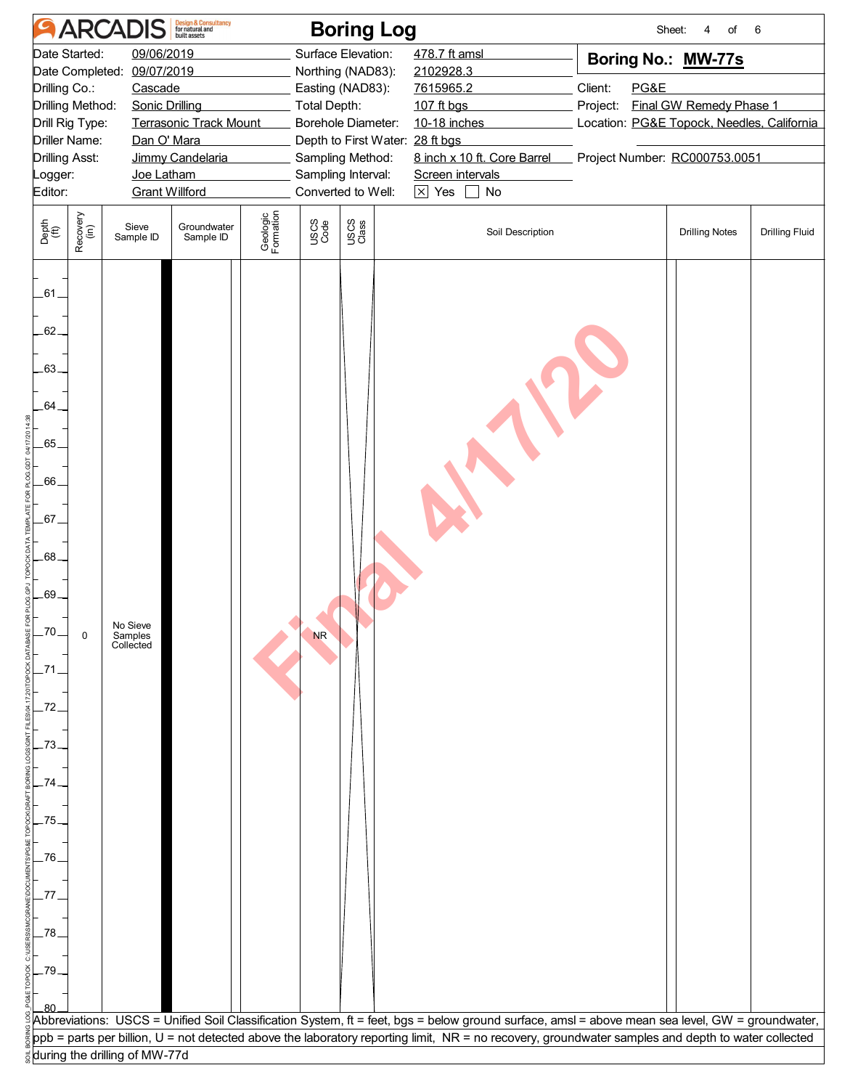|                                                                                                                                                                                                                                                                                                                                     |                  | <b>ARCADIS</b>                   | <b>Design &amp; Consultancy</b><br>for natural and<br>built assets |                       |                                                                                                                                                                                                             | <b>Boring Log</b> |                                                                                                                                                                           |                                                                                                                                                             | Sheet:<br>of<br>4     | 6                     |  |
|-------------------------------------------------------------------------------------------------------------------------------------------------------------------------------------------------------------------------------------------------------------------------------------------------------------------------------------|------------------|----------------------------------|--------------------------------------------------------------------|-----------------------|-------------------------------------------------------------------------------------------------------------------------------------------------------------------------------------------------------------|-------------------|---------------------------------------------------------------------------------------------------------------------------------------------------------------------------|-------------------------------------------------------------------------------------------------------------------------------------------------------------|-----------------------|-----------------------|--|
| 09/06/2019<br>Date Started:<br>Date Completed:<br>09/07/2019<br>Drilling Co.:<br>Cascade<br>Drilling Method:<br><b>Sonic Drilling</b><br>Drill Rig Type:<br><b>Terrasonic Track Mount</b><br>Driller Name:<br>Dan O' Mara<br><b>Drilling Asst:</b><br>Jimmy Candelaria<br>Joe Latham<br>_ogger:<br><b>Grant Willford</b><br>Editor: |                  |                                  |                                                                    |                       | Surface Elevation:<br>Northing (NAD83):<br>Easting (NAD83):<br><b>Total Depth:</b><br>Borehole Diameter:<br>Depth to First Water: 28 ft bgs<br>Sampling Method:<br>Sampling Interval:<br>Converted to Well: |                   | 478.7 ft amsl<br>2102928.3<br>7615965.2<br>107 ft bgs<br>10-18 inches<br>8 inch x 10 ft. Core Barrel<br>Screen intervals<br>$\boxed{\times}$ Yes $\boxed{\phantom{0}}$ No | Boring No.: MW-77s<br>PG&E<br>Client:<br>Final GW Remedy Phase 1<br>Project:<br>Location: PG&E Topock, Needles, California<br>Project Number: RC000753.0051 |                       |                       |  |
| Depth<br>(ft)                                                                                                                                                                                                                                                                                                                       | Recovery<br>(in) | Sieve<br>Sample ID               | Groundwater<br>Sample ID                                           | Geologic<br>Formation | USCS<br>Code                                                                                                                                                                                                | USCS<br>Class     | Soil Description                                                                                                                                                          |                                                                                                                                                             | <b>Drilling Notes</b> | <b>Drilling Fluid</b> |  |
| $-61-$<br>62.<br>$-63-$<br>.64.<br>$-65$<br>$-66$<br>$-67-$<br>$-68.$<br>.69.<br>.70<br>.72<br>.73<br>.74<br>$-75.$<br>.76.<br>.77<br>-78<br>-79<br>80                                                                                                                                                                              | 0                | No Sieve<br>Samples<br>Collected |                                                                    |                       | <b>NR</b>                                                                                                                                                                                                   |                   | Abbreviations: USCS = Unified Soil Classification System, ft = feet, bgs = below ground surface, amsl = above mean sea level, GW = groundwater,                           |                                                                                                                                                             |                       |                       |  |
|                                                                                                                                                                                                                                                                                                                                     |                  |                                  |                                                                    |                       |                                                                                                                                                                                                             |                   | ppb = parts per billion, U = not detected above the laboratory reporting limit, NR = no recovery, groundwater samples and depth to water collected                        |                                                                                                                                                             |                       |                       |  |
|                                                                                                                                                                                                                                                                                                                                     |                  | during the drilling of MW-77d    |                                                                    |                       |                                                                                                                                                                                                             |                   |                                                                                                                                                                           |                                                                                                                                                             |                       |                       |  |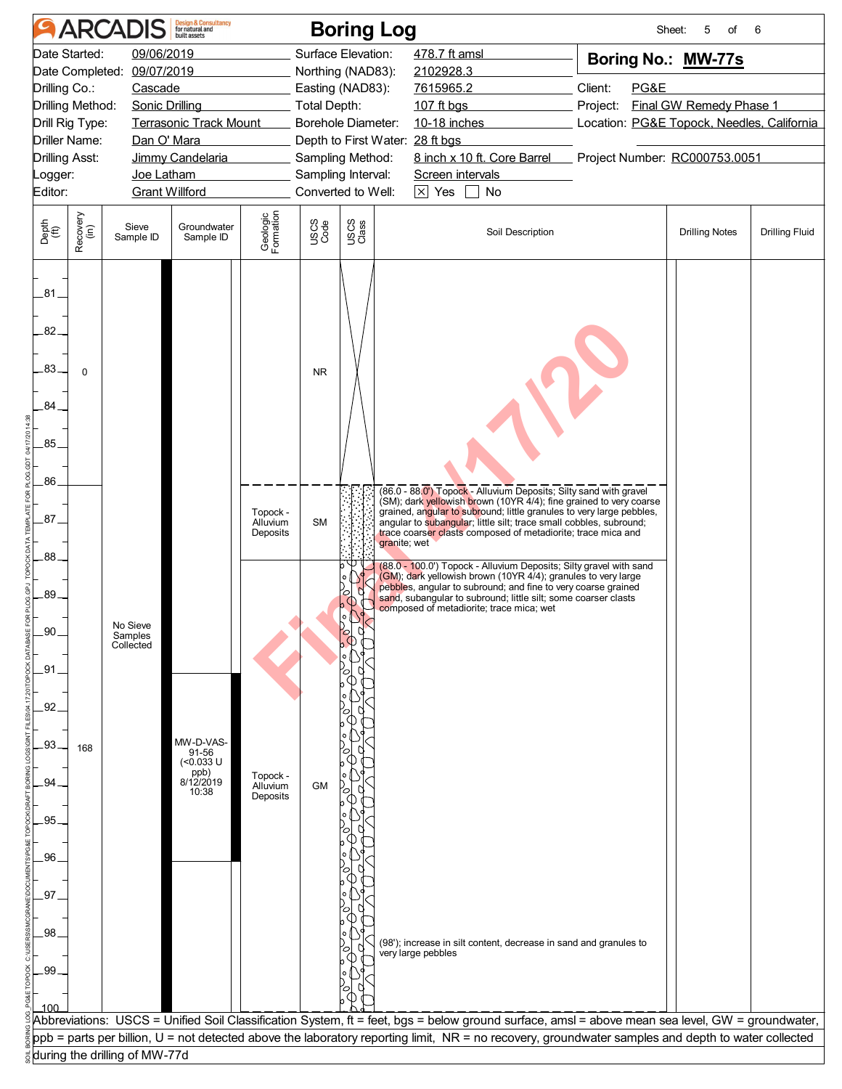|                                                                                                                                                                                                                                                                                                                                         |                  | <b>ARCADIS</b>                   | <b>Design &amp; Consultancy</b><br>for natural and      |                                  |                                                                                                                                                                                                             | <b>Boring Log</b> |                                                                                                                                                                                                                                                                                                                                                                                                                                                                                                                                                                                                                                                                                             |                                                                                                                                                                                         | 5<br>Sheet:<br>of     | 6                     |  |
|-----------------------------------------------------------------------------------------------------------------------------------------------------------------------------------------------------------------------------------------------------------------------------------------------------------------------------------------|------------------|----------------------------------|---------------------------------------------------------|----------------------------------|-------------------------------------------------------------------------------------------------------------------------------------------------------------------------------------------------------------|-------------------|---------------------------------------------------------------------------------------------------------------------------------------------------------------------------------------------------------------------------------------------------------------------------------------------------------------------------------------------------------------------------------------------------------------------------------------------------------------------------------------------------------------------------------------------------------------------------------------------------------------------------------------------------------------------------------------------|-----------------------------------------------------------------------------------------------------------------------------------------------------------------------------------------|-----------------------|-----------------------|--|
| Date Started:<br>09/06/2019<br>Date Completed: 09/07/2019<br>Drilling Co.:<br>Cascade<br>Drilling Method:<br><b>Sonic Drilling</b><br>Drill Rig Type:<br><b>Terrasonic Track Mount</b><br><b>Driller Name:</b><br>Dan O' Mara<br><b>Drilling Asst:</b><br>Jimmy Candelaria<br>Joe Latham<br>Logger:<br><b>Grant Willford</b><br>Editor: |                  |                                  |                                                         |                                  | Surface Elevation:<br>Northing (NAD83):<br>Easting (NAD83):<br><b>Total Depth:</b><br>Borehole Diameter:<br>Depth to First Water: 28 ft bgs<br>Sampling Method:<br>Sampling Interval:<br>Converted to Well: |                   | 478.7 ft amsl<br>2102928.3<br>7615965.2<br>107 ft bgs<br>10-18 inches<br>Screen intervals<br>$\boxed{\times}$ Yes $\boxed{\phantom{0}}$ No                                                                                                                                                                                                                                                                                                                                                                                                                                                                                                                                                  | Boring No.: MW-77s<br>Client:<br>PG&E<br>Final GW Remedy Phase 1<br>Project:<br>Location: PG&E Topock, Needles, California<br>8 inch x 10 ft. Core Barrel Project Number: RC000753.0051 |                       |                       |  |
| Depth<br>(ft)                                                                                                                                                                                                                                                                                                                           | Recovery<br>(in) | Sieve<br>Sample ID               | Groundwater<br>Sample ID                                | Geologic<br>Formation            | USCS<br>Code                                                                                                                                                                                                | USCS<br>Class     | Soil Description                                                                                                                                                                                                                                                                                                                                                                                                                                                                                                                                                                                                                                                                            |                                                                                                                                                                                         | <b>Drilling Notes</b> | <b>Drilling Fluid</b> |  |
| .81.<br>82<br>.83<br>84<br>.85                                                                                                                                                                                                                                                                                                          | $\Omega$         |                                  |                                                         |                                  | <b>NR</b>                                                                                                                                                                                                   |                   |                                                                                                                                                                                                                                                                                                                                                                                                                                                                                                                                                                                                                                                                                             |                                                                                                                                                                                         |                       |                       |  |
| .86<br>.87.<br>.88<br>.89                                                                                                                                                                                                                                                                                                               |                  |                                  |                                                         | Topock -<br>Alluvium<br>Deposits | <b>SM</b>                                                                                                                                                                                                   | r                 | (86.0 - 88.0') Topock - Alluvium Deposits; Silty sand with gravel<br>(SM); dark yellowish brown (10YR 4/4); fine grained to very coarse<br>grained, angular to subround; little granules to very large pebbles,<br>angular to subangular; little silt; trace small cobbles, subround;<br>trace coarser clasts composed of metadiorite; trace mica and<br>granite; wet<br>(88.0 - 100.0') Topock - Alluvium Deposits; Silty gravel with sand<br>(GM); dark yellowish brown (10YR 4/4); granules to very large<br>pebbles, angular to subround; and fine to very coarse grained<br>sand, subangular to subround; little silt; some coarser clasts<br>composed of metadiorite; trace mica; wet |                                                                                                                                                                                         |                       |                       |  |
| .90<br>.91<br>.92                                                                                                                                                                                                                                                                                                                       |                  | No Sieve<br>Samples<br>Collected | MW-D-VAS-                                               |                                  |                                                                                                                                                                                                             |                   |                                                                                                                                                                                                                                                                                                                                                                                                                                                                                                                                                                                                                                                                                             |                                                                                                                                                                                         |                       |                       |  |
| .93<br>94<br>95<br>.96.                                                                                                                                                                                                                                                                                                                 | 168              |                                  | 91-56<br>$($ <0.033 U<br>$p$ ppb)<br>8/12/2019<br>10:38 | Topock -<br>Alluvium<br>Deposits | <b>GM</b>                                                                                                                                                                                                   |                   |                                                                                                                                                                                                                                                                                                                                                                                                                                                                                                                                                                                                                                                                                             |                                                                                                                                                                                         |                       |                       |  |
| 97<br>.98<br>.99                                                                                                                                                                                                                                                                                                                        |                  |                                  |                                                         |                                  |                                                                                                                                                                                                             |                   | (98'); increase in silt content, decrease in sand and granules to<br>very large pebbles<br>Abbreviations: USCS = Unified Soil Classification System, ft = feet, bgs = below ground surface, amsl = above mean sea level, GW = groundwater,                                                                                                                                                                                                                                                                                                                                                                                                                                                  |                                                                                                                                                                                         |                       |                       |  |
|                                                                                                                                                                                                                                                                                                                                         |                  | during the drilling of MW-77d    |                                                         |                                  |                                                                                                                                                                                                             |                   | ppb = parts per billion, U = not detected above the laboratory reporting limit, NR = no recovery, groundwater samples and depth to water collected                                                                                                                                                                                                                                                                                                                                                                                                                                                                                                                                          |                                                                                                                                                                                         |                       |                       |  |